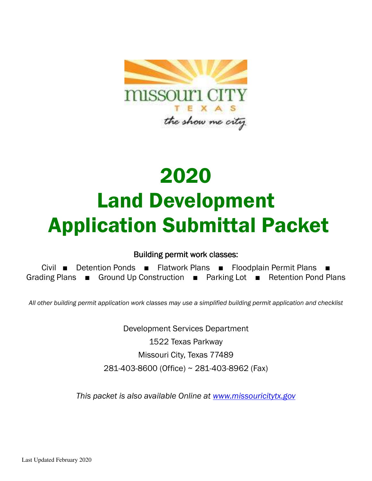

# 2020 Land Development Application Submittal Packet

### Building permit work classes:

Civil ■ Detention Ponds ■ Flatwork Plans ■ Floodplain Permit Plans ■ Grading Plans ■ Ground Up Construction ■ Parking Lot ■ Retention Pond Plans

*All other building permit application work classes may use a simplified building permit application and checklist* 

Development Services Department 1522 Texas Parkway Missouri City, Texas 77489 281-403-8600 (Office) ~ 281-403-8962 (Fax)

*This packet is also available Online at www.missouricitytx.gov*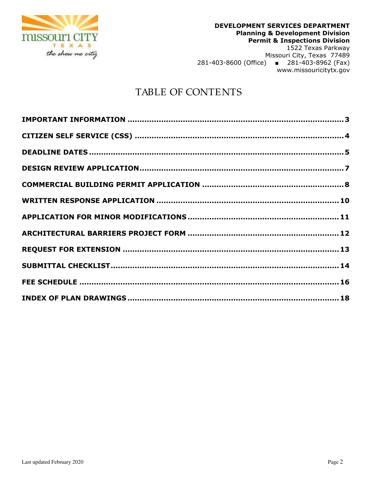

# TABLE OF CONTENTS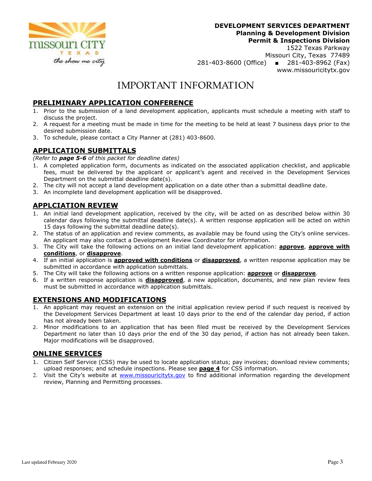

1522 Texas Parkway Missouri City, Texas 77489 281-403-8600 (Office) ■ 281-403-8962 (Fax) www.missouricitytx.gov

# IMPORTANT INFORMATION

### **PRELIMINARY APPLICATION CONFERENCE**

- 1. Prior to the submission of a land development application, applicants must schedule a meeting with staff to discuss the project.
- 2. A request for a meeting must be made in time for the meeting to be held at least 7 business days prior to the desired submission date.
- 3. To schedule, please contact a City Planner at (281) 403-8600.

#### **APPLICATION SUBMITTALS**

*(Refer to page 5-6 of this packet for deadline dates)* 

- 1. A completed application form, documents as indicated on the associated application checklist, and applicable fees, must be delivered by the applicant or applicant's agent and received in the Development Services Department on the submittal deadline date(s).
- 2. The city will not accept a land development application on a date other than a submittal deadline date.
- 3. An incomplete land development application will be disapproved.

### **APPLCIATION REVIEW**

- 1. An initial land development application, received by the city, will be acted on as described below within 30 calendar days following the submittal deadline date(s). A written response application will be acted on within 15 days following the submittal deadline date(s).
- 2. The status of an application and review comments, as available may be found using the City's online services. An applicant may also contact a Development Review Coordinator for information.
- 3. The City will take the following actions on an initial land development application: **approve**, **approve with conditions**, or **disapprove**.
- 4. If an initial application is **approved with conditions** or **disapproved**, a written response application may be submitted in accordance with application submittals.
- 5. The City will take the following actions on a written response application: **approve** or **disapprove**.
- 6. If a written response application is **disapproved**, a new application, documents, and new plan review fees must be submitted in accordance with application submittals.

#### **EXTENSIONS AND MODIFICATIONS**

- 1. An applicant may request an extension on the initial application review period if such request is received by the Development Services Department at least 10 days prior to the end of the calendar day period, if action has not already been taken.
- 2. Minor modifications to an application that has been filed must be received by the Development Services Department no later than 10 days prior the end of the 30 day period, if action has not already been taken. Major modifications will be disapproved.

#### **ONLINE SERVICES**

- 1. Citizen Self Service (CSS) may be used to locate application status; pay invoices; download review comments; upload responses; and schedule inspections. Please see **page 4** for CSS information.
- 2. Visit the City's website at www.missouricitytx.gov to find additional information regarding the development review, Planning and Permitting processes.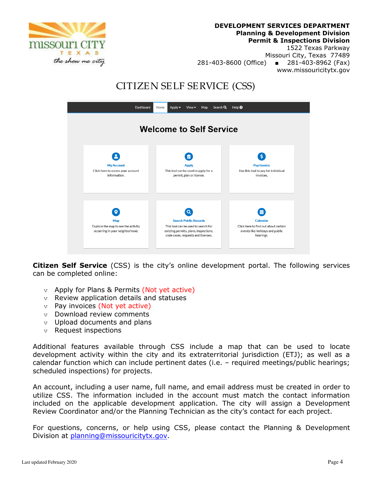1522 Texas Parkway

Missouri City, Texas 77489 281-403-8600 (Office) ■ 281-403-8962 (Fax) www.missouricitytx.gov

# CITIZEN SELF SERVICE (CSS)



**Citizen Self Service** (CSS) is the city's online development portal. The following services can be completed online:

- $v$  Apply for Plans & Permits (Not yet active)
- $v$  Review application details and statuses
- $v$  Pay invoices (Not yet active)
- $v$  Download review comments
- $v$  Upload documents and plans
- $v$  Request inspections

Additional features available through CSS include a map that can be used to locate development activity within the city and its extraterritorial jurisdiction (ETJ); as well as a calendar function which can include pertinent dates (i.e. – required meetings/public hearings; scheduled inspections) for projects.

An account, including a user name, full name, and email address must be created in order to utilize CSS. The information included in the account must match the contact information included on the applicable development application. The city will assign a Development Review Coordinator and/or the Planning Technician as the city's contact for each project.

For questions, concerns, or help using CSS, please contact the Planning & Development Division at planning@missouricitytx.gov.

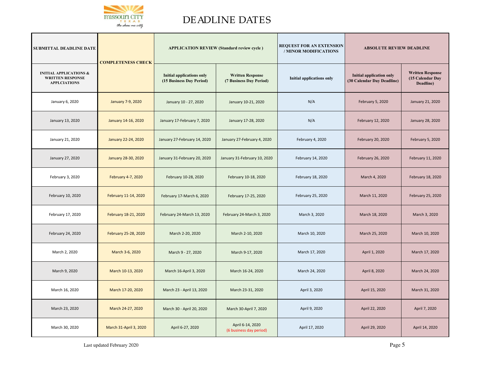

# DEADLINE DATES

| <b>SUBMITTAL DEADLINE DATE</b>                                                      | <b>APPLICATION REVIEW (Standard review cycle)</b><br><b>COMPLETENESS CHECK</b> |                                                              |                                                    | <b>REQUEST FOR AN EXTENSION</b><br>/ MINOR MODIFICATIONS |                                                               | <b>ABSOLUTE REVIEW DEADLINE</b>                          |  |
|-------------------------------------------------------------------------------------|--------------------------------------------------------------------------------|--------------------------------------------------------------|----------------------------------------------------|----------------------------------------------------------|---------------------------------------------------------------|----------------------------------------------------------|--|
| <b>INITIAL APPLICATIONS &amp;</b><br><b>WRITTEN RESPONSE</b><br><b>APPLCIATIONS</b> |                                                                                | <b>Initial applications only</b><br>(15 Business Day Period) | <b>Written Response</b><br>(7 Business Day Period) | <b>Initial applications only</b>                         | <b>Initial application only</b><br>(30 Calendar Day Deadline) | <b>Written Response</b><br>(15 Calendar Day<br>Deadline) |  |
| January 6, 2020                                                                     | January 7-9, 2020                                                              | January 10 - 27, 2020                                        | January 10-21, 2020                                | N/A                                                      | February 5, 2020                                              | January 21, 2020                                         |  |
| January 13, 2020                                                                    | January 14-16, 2020                                                            | January 17-February 7, 2020                                  | January 17-28, 2020                                | N/A                                                      | February 12, 2020                                             | January 28, 2020                                         |  |
| January 21, 2020                                                                    | January 22-24, 2020                                                            | January 27-February 14, 2020                                 | January 27-February 4, 2020                        | February 4, 2020                                         | February 20, 2020                                             | February 5, 2020                                         |  |
| January 27, 2020                                                                    | January 28-30, 2020                                                            | January 31-February 20, 2020                                 | January 31-February 10, 2020                       | February 14, 2020                                        | February 26, 2020                                             | February 11, 2020                                        |  |
| February 3, 2020                                                                    | February 4-7, 2020                                                             | February 10-28, 2020                                         | February 10-18, 2020                               | February 18, 2020                                        | March 4, 2020                                                 | February 18, 2020                                        |  |
| February 10, 2020                                                                   | February 11-14, 2020                                                           | February 17-March 6, 2020                                    | February 17-25, 2020                               | February 25, 2020                                        | March 11, 2020                                                | February 25, 2020                                        |  |
| February 17, 2020                                                                   | February 18-21, 2020                                                           | February 24-March 13, 2020                                   | February 24-March 3, 2020                          | March 3, 2020                                            | March 18, 2020                                                | March 3, 2020                                            |  |
| February 24, 2020                                                                   | February 25-28, 2020                                                           | March 2-20, 2020                                             | March 2-10, 2020                                   | March 10, 2020                                           | March 25, 2020                                                | March 10, 2020                                           |  |
| March 2, 2020                                                                       | March 3-6, 2020                                                                | March 9 - 27, 2020                                           | March 9-17, 2020                                   | March 17, 2020                                           | April 1, 2020                                                 | March 17, 2020                                           |  |
| March 9, 2020                                                                       | March 10-13, 2020                                                              | March 16-April 3, 2020                                       | March 16-24, 2020                                  | March 24, 2020                                           | April 8, 2020                                                 | March 24, 2020                                           |  |
| March 16, 2020                                                                      | March 17-20, 2020                                                              | March 23 - April 13, 2020                                    | March 23-31, 2020                                  | April 3, 2020                                            | April 15, 2020                                                | March 31, 2020                                           |  |
| March 23, 2020                                                                      | March 24-27, 2020                                                              | March 30 - April 20, 2020                                    | March 30-April 7, 2020                             | April 9, 2020                                            | April 22, 2020                                                | April 7, 2020                                            |  |
| March 30, 2020                                                                      | March 31-April 3, 2020                                                         | April 6-27, 2020                                             | April 6-14, 2020<br>(6 business day period)        | April 17, 2020                                           | April 29, 2020                                                | April 14, 2020                                           |  |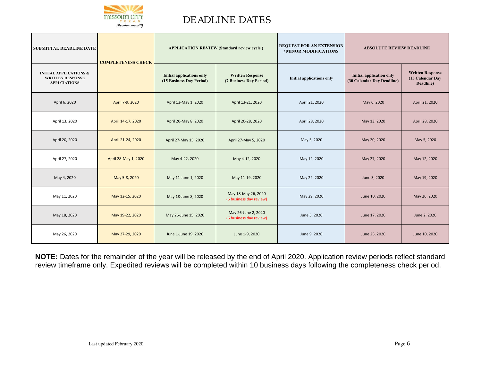

# DEADLINE DATES

| <b>SUBMITTAL DEADLINE DATE</b>                                                      | <b>COMPLETENESS CHECK</b> | <b>APPLICATION REVIEW (Standard review cycle)</b>            |                                                    | <b>REQUEST FOR AN EXTENSION</b><br>/ MINOR MODIFICATIONS | <b>ABSOLUTE REVIEW DEADLINE</b>                               |                                                          |
|-------------------------------------------------------------------------------------|---------------------------|--------------------------------------------------------------|----------------------------------------------------|----------------------------------------------------------|---------------------------------------------------------------|----------------------------------------------------------|
| <b>INITIAL APPLICATIONS &amp;</b><br><b>WRITTEN RESPONSE</b><br><b>APPLCIATIONS</b> |                           | <b>Initial applications only</b><br>(15 Business Day Period) | <b>Written Response</b><br>(7 Business Day Period) | Initial applications only                                | <b>Initial application only</b><br>(30 Calendar Day Deadline) | <b>Written Response</b><br>(15 Calendar Day<br>Deadline) |
| April 6, 2020                                                                       | April 7-9, 2020           | April 13-May 1, 2020                                         | April 13-21, 2020                                  | April 21, 2020                                           | May 6, 2020                                                   | April 21, 2020                                           |
| April 13, 2020                                                                      | April 14-17, 2020         | April 20-May 8, 2020                                         | April 20-28, 2020                                  | April 28, 2020                                           | May 13, 2020                                                  | April 28, 2020                                           |
| April 20, 2020                                                                      | April 21-24, 2020         | April 27-May 15, 2020                                        | April 27-May 5, 2020                               | May 5, 2020                                              | May 20, 2020                                                  | May 5, 2020                                              |
| April 27, 2020                                                                      | April 28-May 1, 2020      | May 4-22, 2020                                               | May 4-12, 2020                                     | May 12, 2020                                             | May 27, 2020                                                  | May 12, 2020                                             |
| May 4, 2020                                                                         | May 5-8, 2020             | May 11-June 1, 2020                                          | May 11-19, 2020                                    | May 22, 2020                                             | June 3, 2020                                                  | May 19, 2020                                             |
| May 11, 2020                                                                        | May 12-15, 2020           | May 18-June 8, 2020                                          | May 18-May 26, 2020<br>(6 business day review)     | May 29, 2020                                             | June 10, 2020                                                 | May 26, 2020                                             |
| May 18, 2020                                                                        | May 19-22, 2020           | May 26-June 15, 2020                                         | May 26-June 2, 2020<br>(6 business day review)     | June 5, 2020                                             | June 17, 2020                                                 | June 2, 2020                                             |
| May 26, 2020                                                                        | May 27-29, 2020           | June 1-June 19, 2020                                         | June 1-9, 2020                                     | June 9, 2020                                             | June 25, 2020                                                 | June 10, 2020                                            |

**NOTE:** Dates for the remainder of the year will be released by the end of April 2020. Application review periods reflect standard review timeframe only. Expedited reviews will be completed within 10 business days following the completeness check period.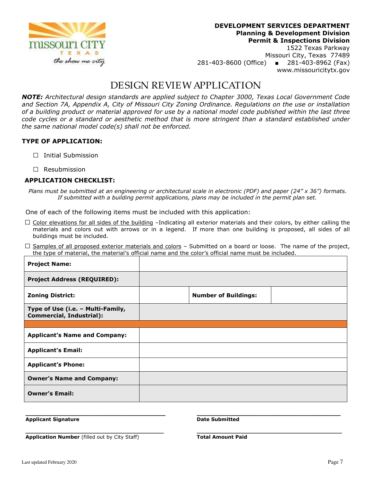

Missouri City, Texas 77489 281-403-8600 (Office) ■ 281-403-8962 (Fax) www.missouricitytx.gov

### DESIGN REVIEW APPLICATION

*NOTE: Architectural design standards are applied subject to Chapter 3000, Texas Local Government Code and Section 7A, Appendix A, City of Missouri City Zoning Ordinance. Regulations on the use or installation of a building product or material approved for use by a national model code published within the last three code cycles or a standard or aesthetic method that is more stringent than a standard established under the same national model code(s) shall not be enforced.* 

#### **TYPE OF APPLICATION:**

- **□** Initial Submission
- **□** Resubmission

#### **APPLICATION CHECKLIST:**

*Plans must be submitted at an engineering or architectural scale in electronic (PDF) and paper (24" x 36") formats. If submitted with a building permit applications, plans may be included in the permit plan set.* 

One of each of the following items must be included with this application:

- **□** Color elevations for all sides of the building –Indicating all exterior materials and their colors, by either calling the materials and colors out with arrows or in a legend. If more than one building is proposed, all sides of all buildings must be included.
- **□** Samples of all proposed exterior materials and colors Submitted on a board or loose. The name of the project, the type of material, the material's official name and the color's official name must be included.

| <b>Project Name:</b>                                                 |                             |  |
|----------------------------------------------------------------------|-----------------------------|--|
| <b>Project Address (REQUIRED):</b>                                   |                             |  |
| <b>Zoning District:</b>                                              | <b>Number of Buildings:</b> |  |
| Type of Use (i.e. - Multi-Family,<br><b>Commercial, Industrial):</b> |                             |  |
|                                                                      |                             |  |
| <b>Applicant's Name and Company:</b>                                 |                             |  |
| <b>Applicant's Email:</b>                                            |                             |  |
| <b>Applicant's Phone:</b>                                            |                             |  |
| <b>Owner's Name and Company:</b>                                     |                             |  |
| <b>Owner's Email:</b>                                                |                             |  |

**\_\_\_\_\_\_\_\_\_\_\_\_\_\_\_\_\_\_\_\_\_\_\_\_\_\_\_\_\_\_\_\_\_\_\_\_ \_\_\_\_\_\_\_\_\_\_\_\_\_\_\_\_\_\_\_\_\_\_\_\_\_\_\_\_\_\_\_\_\_\_\_\_\_ Applicant Signature Community Community Community Property Community Date Submitted** 

**\_\_\_\_\_\_\_\_\_\_\_\_\_\_\_\_\_\_\_\_\_\_\_\_\_\_\_\_\_\_\_\_\_\_\_\_\_\_\_\_ \_\_\_\_\_\_\_\_\_\_\_\_\_\_\_\_\_\_\_\_\_\_\_\_\_\_\_\_\_\_\_\_\_\_\_\_\_\_\_\_\_\_ Application Number (filled out by City Staff) Total Amount Paid**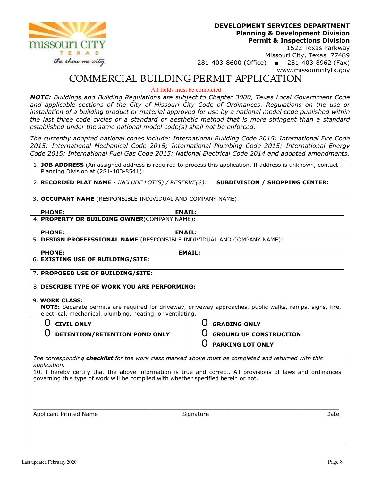

1522 Texas Parkway Missouri City, Texas 77489 281-403-8600 (Office) ■ 281-403-8962 (Fax) www.missouricitytx.gov

### COMMERCIAL BUILDING PERMIT APPLICATION

All fields must be completed

*NOTE: Buildings and Building Regulations are subject to Chapter 3000, Texas Local Government Code and applicable sections of the City of Missouri City Code of Ordinances. Regulations on the use or installation of a building product or material approved for use by a national model code published within the last three code cycles or a standard or aesthetic method that is more stringent than a standard established under the same national model code(s) shall not be enforced.* 

*The currently adopted national codes include: International Building Code 2015; International Fire Code 2015; International Mechanical Code 2015; International Plumbing Code 2015; International Energy Code 2015; International Fuel Gas Code 2015; National Electrical Code 2014 and adopted amendments.* 

| Planning Division at (281-403-8541):                                                                                 | 1. JOB ADDRESS (An assigned address is required to process this application. If address is unknown, contact |
|----------------------------------------------------------------------------------------------------------------------|-------------------------------------------------------------------------------------------------------------|
| 2. RECORDED PLAT NAME - INCLUDE LOT(S) / RESERVE(S):                                                                 | <b>SUBDIVISION / SHOPPING CENTER:</b>                                                                       |
| 3. OCCUPANT NAME (RESPONSIBLE INDIVIDUAL AND COMPANY NAME):                                                          |                                                                                                             |
| <b>PHONE:</b>                                                                                                        | <b>EMAIL:</b>                                                                                               |
| 4. PROPERTY OR BUILDING OWNER(COMPANY NAME):                                                                         |                                                                                                             |
| <b>PHONE:</b><br><b>EMAIL:</b>                                                                                       |                                                                                                             |
| 5. DESIGN PROFFESSIONAL NAME (RESPONSIBLE INDIVIDUAL AND COMPANY NAME):                                              |                                                                                                             |
| <b>PHONE:</b>                                                                                                        | <b>EMAIL:</b>                                                                                               |
| 6. EXISTING USE OF BUILDING/SITE:                                                                                    |                                                                                                             |
| 7. PROPOSED USE OF BUILDING/SITE:                                                                                    |                                                                                                             |
| 8. DESCRIBE TYPE OF WORK YOU ARE PERFORMING:                                                                         |                                                                                                             |
|                                                                                                                      |                                                                                                             |
| 9. WORK CLASS:<br>electrical, mechanical, plumbing, heating, or ventilating.                                         | NOTE: Separate permits are required for driveway, driveway approaches, public walks, ramps, signs, fire,    |
| ()<br><b>CIVIL ONLY</b>                                                                                              | <b>GRADING ONLY</b>                                                                                         |
| DETENTION/RETENTION POND ONLY                                                                                        | <b>GROUND UP CONSTRUCTION</b>                                                                               |
|                                                                                                                      | <b>PARKING LOT ONLY</b>                                                                                     |
| The corresponding checklist for the work class marked above must be completed and returned with this<br>application. |                                                                                                             |
| governing this type of work will be complied with whether specified herein or not.                                   | 10. I hereby certify that the above information is true and correct. All provisions of laws and ordinances  |
|                                                                                                                      |                                                                                                             |
| Applicant Printed Name                                                                                               | Signature<br>Date                                                                                           |
|                                                                                                                      |                                                                                                             |
|                                                                                                                      |                                                                                                             |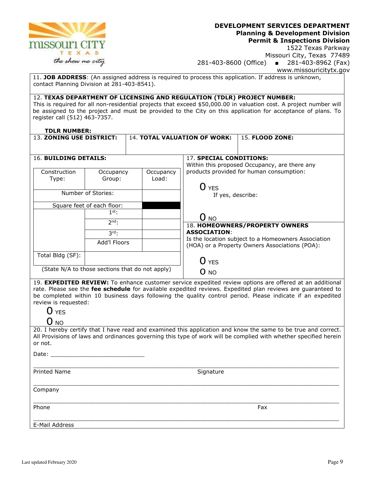

1522 Texas Parkway Missouri City, Texas 77489 281-403-8600 (Office) ■ 281-403-8962 (Fax) www.missouricitytx.gov

11. **JOB ADDRESS**: (An assigned address is required to process this application. If address is unknown, contact Planning Division at 281-403-8541).

#### 12. **TEXAS DEPARTMENT OF LICENSING AND REGULATION (TDLR) PROJECT NUMBER:**

This is required for all non-residential projects that exceed \$50,000.00 in valuation cost. A project number will be assigned to the project and must be provided to the City on this application for acceptance of plans. To register call (512) 463-7357.

#### **TDLR NUMBER:**

| 13. ZONING USE DISTRICT: |                            |                                                 | 14. TOTAL VALUATION OF WORK:                                             | <b>15. FLOOD ZONE:</b>                                                                                |  |
|--------------------------|----------------------------|-------------------------------------------------|--------------------------------------------------------------------------|-------------------------------------------------------------------------------------------------------|--|
|                          |                            |                                                 |                                                                          |                                                                                                       |  |
| 16. BUILDING DETAILS:    |                            |                                                 | 17. SPECIAL CONDITIONS:<br>Within this proposed Occupancy, are there any |                                                                                                       |  |
| Construction<br>Type:    | Occupancy<br>Group:        | Occupancy<br>Load:                              |                                                                          | products provided for human consumption:                                                              |  |
|                          |                            |                                                 | O YES                                                                    |                                                                                                       |  |
|                          | Number of Stories:         |                                                 | If yes, describe:                                                        |                                                                                                       |  |
|                          | Square feet of each floor: |                                                 |                                                                          |                                                                                                       |  |
|                          | $1st$ :                    |                                                 | O no                                                                     |                                                                                                       |  |
|                          | $2nd$ :                    |                                                 |                                                                          | 18. HOMEOWNERS/PROPERTY OWNERS                                                                        |  |
|                          | $3rd_1$                    |                                                 | <b>ASSOCIATION:</b>                                                      |                                                                                                       |  |
|                          | Add'l Floors               |                                                 |                                                                          | Is the location subject to a Homeowners Association<br>(HOA) or a Property Owners Associations (POA): |  |
| Total Bldg (SF):         |                            |                                                 |                                                                          |                                                                                                       |  |
|                          |                            |                                                 | O yes                                                                    |                                                                                                       |  |
|                          |                            | (State N/A to those sections that do not apply) | O NO                                                                     |                                                                                                       |  |

19. **EXPEDITED REVIEW:** To enhance customer service expedited review options are offered at an additional rate. Please see the **fee schedule** for available expedited reviews. Expedited plan reviews are guaranteed to be completed within 10 business days following the quality control period. Please indicate if an expedited review is requested:

#### O NO

20. I hereby certify that I have read and examined this application and know the same to be true and correct. All Provisions of laws and ordinances governing this type of work will be complied with whether specified herein or not.

\_\_\_\_\_\_\_\_\_\_\_\_\_\_\_\_\_\_\_\_\_\_\_\_\_\_\_\_\_\_\_\_\_\_\_\_\_\_\_\_\_\_\_\_\_\_\_\_\_\_\_\_\_\_\_\_\_\_\_\_\_\_\_\_\_\_\_\_\_\_\_\_\_\_\_\_\_\_\_\_\_\_\_\_\_\_\_\_

Date:

\_\_\_\_\_\_\_\_\_\_\_\_\_\_\_\_\_\_\_\_\_\_\_\_\_\_\_\_\_\_\_\_\_\_\_\_\_\_\_\_\_\_\_\_\_\_\_\_\_\_\_\_\_\_\_\_\_\_\_\_\_\_\_\_\_\_\_\_\_\_\_\_\_\_\_\_\_\_\_\_\_\_\_\_\_\_\_\_ Printed Name Signature

Company

\_\_\_\_\_\_\_\_\_\_\_\_\_\_\_\_\_\_\_\_\_\_\_\_\_\_\_\_\_\_\_\_\_\_\_\_\_\_\_\_\_\_\_\_\_\_\_\_\_\_\_\_\_\_\_\_\_\_\_\_\_\_\_\_\_\_\_\_\_\_\_\_\_\_\_\_\_\_\_\_\_\_\_\_\_\_\_\_ Phone Fax **Fax Executive Contract Contract Contract Contract Contract Contract Contract Contract Contract Contract Contract Contract Contract Contract Contract Contract Contract Contract Contract Contract Contract Contract** 

\_\_\_\_\_\_\_\_\_\_\_\_\_\_\_\_\_\_\_\_\_\_\_\_\_\_\_\_\_\_\_\_\_\_\_\_\_\_\_\_\_\_\_\_\_\_\_\_\_\_\_\_\_\_\_\_\_\_\_\_\_\_\_\_\_\_\_\_\_\_\_\_\_\_\_\_\_\_\_\_\_\_\_\_\_\_\_\_ E-Mail Address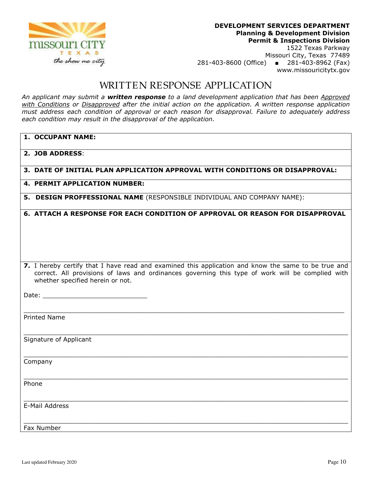

Missouri City, Texas 77489 281-403-8600 (Office) ■ 281-403-8962 (Fax) www.missouricitytx.gov

### WRITTEN RESPONSE APPLICATION

*An applicant may submit a written response to a land development application that has been Approved with Conditions or Disapproved after the initial action on the application. A written response application must address each condition of approval or each reason for disapproval. Failure to adequately address each condition may result in the disapproval of the application.* 

| 1. OCCUPANT NAME:                                                                                                                                                                                                                           |
|---------------------------------------------------------------------------------------------------------------------------------------------------------------------------------------------------------------------------------------------|
| 2. JOB ADDRESS:                                                                                                                                                                                                                             |
| 3. DATE OF INITIAL PLAN APPLICATION APPROVAL WITH CONDITIONS OR DISAPPROVAL:                                                                                                                                                                |
| <b>4. PERMIT APPLICATION NUMBER:</b>                                                                                                                                                                                                        |
| 5. DESIGN PROFFESSIONAL NAME (RESPONSIBLE INDIVIDUAL AND COMPANY NAME):                                                                                                                                                                     |
| 6. ATTACH A RESPONSE FOR EACH CONDITION OF APPROVAL OR REASON FOR DISAPPROVAL                                                                                                                                                               |
| 7. I hereby certify that I have read and examined this application and know the same to be true and<br>correct. All provisions of laws and ordinances governing this type of work will be complied with<br>whether specified herein or not. |
|                                                                                                                                                                                                                                             |
| <b>Printed Name</b>                                                                                                                                                                                                                         |
| Signature of Applicant                                                                                                                                                                                                                      |
| Company                                                                                                                                                                                                                                     |
| Phone                                                                                                                                                                                                                                       |
| E-Mail Address                                                                                                                                                                                                                              |
| Fax Number                                                                                                                                                                                                                                  |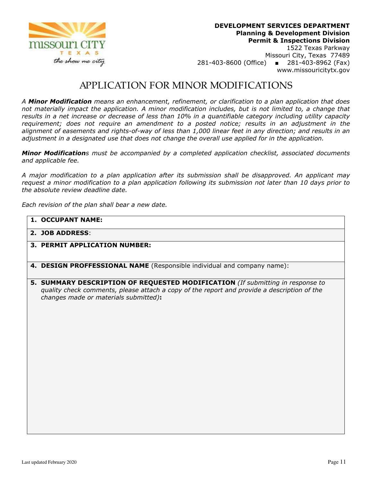

Missouri City, Texas 77489 281-403-8600 (Office) ■ 281-403-8962 (Fax) www.missouricitytx.gov

### APPLICATION FOR MINOR MODIFICATIONS

*A Minor Modification means an enhancement, refinement, or clarification to a plan application that does not materially impact the application. A minor modification includes, but is not limited to, a change that results in a net increase or decrease of less than 10% in a quantifiable category including utility capacity requirement; does not require an amendment to a posted notice; results in an adjustment in the alignment of easements and rights-of-way of less than 1,000 linear feet in any direction; and results in an adjustment in a designated use that does not change the overall use applied for in the application.* 

*Minor Modifications must be accompanied by a completed application checklist, associated documents and applicable fee.* 

*A major modification to a plan application after its submission shall be disapproved. An applicant may request a minor modification to a plan application following its submission not later than 10 days prior to the absolute review deadline date.* 

*Each revision of the plan shall bear a new date.* 

|  | 1. OCCUPANT NAME: |
|--|-------------------|
|--|-------------------|

- **2. JOB ADDRESS**:
- **3. PERMIT APPLICATION NUMBER:**
- **4. DESIGN PROFFESSIONAL NAME** (Responsible individual and company name):
- **5. SUMMARY DESCRIPTION OF REQUESTED MODIFICATION** *(If submitting in response to quality check comments, please attach a copy of the report and provide a description of the changes made or materials submitted)***:**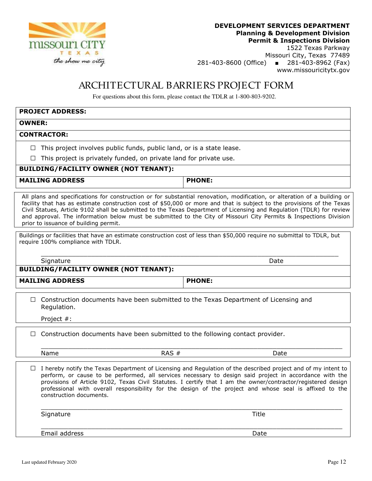

1522 Texas Parkway Missouri City, Texas 77489 281-403-8600 (Office) ■ 281-403-8962 (Fax) www.missouricitytx.gov

# ARCHITECTURAL BARRIERS PROJECT FORM

For questions about this form, please contact the TDLR at 1-800-803-9202.

# **PROJECT ADDRESS: OWNER: CONTRACTOR: □** This project involves public funds, public land, or is a state lease. **□** This project is privately funded, on private land for private use. **BUILDING/FACILITY OWNER (NOT TENANT):**  MAILING ADDRESS **PHONE:**

All plans and specifications for construction or for substantial renovation, modification, or alteration of a building or facility that has as estimate construction cost of \$50,000 or more and that is subject to the provisions of the Texas Civil Statues, Article 9102 shall be submitted to the Texas Department of Licensing and Regulation (TDLR) for review and approval. The information below must be submitted to the City of Missouri City Permits & Inspections Division prior to issuance of building permit.

Buildings or facilities that have an estimate construction cost of less than \$50,000 require no submittal to TDLR, but require 100% compliance with TDLR.

Signature Date Date of the Date of the Date of the Date of the Date of the Date of the Date of the Date of the

**BUILDING/FACILITY OWNER (NOT TENANT):** 

MAILING ADDRESS **PHONE:** 

\_\_\_\_\_\_\_\_\_\_\_\_\_\_\_\_\_\_\_\_\_\_\_\_\_\_\_\_\_\_\_\_\_\_\_\_\_\_\_\_\_\_\_\_\_\_\_\_\_\_\_\_\_\_\_\_\_\_\_\_\_\_\_\_\_\_\_\_\_\_\_\_\_\_\_\_\_

□ Construction documents have been submitted to the Texas Department of Licensing and Regulation.

Project #:

| $\Box$ Construction documents have been submitted to the following contact provider. |  |  |  |  |
|--------------------------------------------------------------------------------------|--|--|--|--|

Name RAS # Date

**□** I hereby notify the Texas Department of Licensing and Regulation of the described project and of my intent to perform, or cause to be performed, all services necessary to design said project in accordance with the provisions of Article 9102, Texas Civil Statutes. I certify that I am the owner/contractor/registered design professional with overall responsibility for the design of the project and whose seal is affixed to the construction documents.

 $\overline{\phantom{a}}$  , and the set of the set of the set of the set of the set of the set of the set of the set of the set of the set of the set of the set of the set of the set of the set of the set of the set of the set of the s

\_\_\_\_\_\_\_\_\_\_\_\_\_\_\_\_\_\_\_\_\_\_\_\_\_\_\_\_\_\_\_\_\_\_\_\_\_\_\_\_\_\_\_\_\_\_\_\_\_\_\_\_\_\_\_\_\_\_\_\_\_\_\_\_\_\_\_\_\_\_\_\_\_\_\_\_\_\_

 $\overline{\phantom{a}}$  , and the set of the set of the set of the set of the set of the set of the set of the set of the set of the set of the set of the set of the set of the set of the set of the set of the set of the set of the s

Signature Title

Email address Date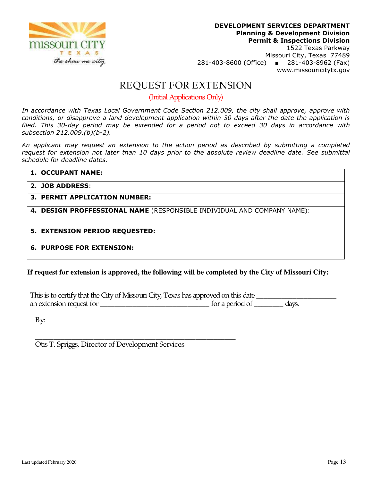

www.missouricitytx.gov

### REQUEST FOR EXTENSION

(Initial Applications Only)

*In accordance with Texas Local Government Code Section 212.009, the city shall approve, approve with conditions, or disapprove a land development application within 30 days after the date the application is filed. This 30-day period may be extended for a period not to exceed 30 days in accordance with subsection 212.009.(b)(b-2).* 

*An applicant may request an extension to the action period as described by submitting a completed request for extension not later than 10 days prior to the absolute review deadline date. See submittal schedule for deadline dates.* 

| <b>1. OCCUPANT NAME:</b>                                                |
|-------------------------------------------------------------------------|
| 2. JOB ADDRESS:                                                         |
| 3. PERMIT APPLICATION NUMBER:                                           |
| 4. DESIGN PROFFESSIONAL NAME (RESPONSIBLE INDIVIDUAL AND COMPANY NAME): |
| 5. EXTENSION PERIOD REQUESTED:                                          |
| <b>6. PURPOSE FOR EXTENSION:</b>                                        |

**If request for extension is approved, the following will be completed by the City of Missouri City:** 

This is to certify that the City of Missouri City, Texas has approved on this date \_\_\_\_\_\_\_\_\_\_\_\_\_\_\_\_\_\_\_\_\_\_ an extension request for \_\_\_\_\_\_\_\_\_\_\_\_\_\_\_\_\_\_\_\_\_\_\_\_\_\_\_\_\_\_ for a period of \_\_\_\_\_\_\_\_ days.

By:

\_\_\_\_\_\_\_\_\_\_\_\_\_\_\_\_\_\_\_\_\_\_\_\_\_\_\_\_\_\_\_\_\_\_\_\_\_\_\_\_\_\_\_\_\_\_\_\_\_\_\_\_\_\_\_ Otis T. Spriggs, Director of Development Services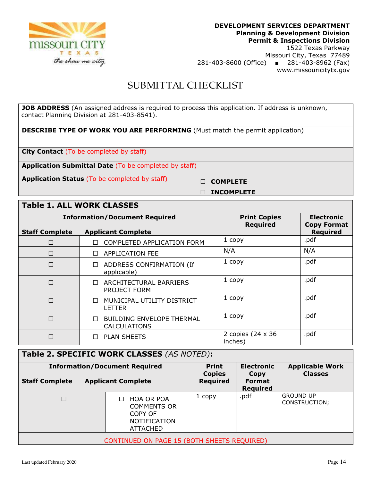

Missouri City, Texas 77489 281-403-8600 (Office) ■ 281-403-8962 (Fax) www.missouricitytx.gov

# SUBMITTAL CHECKLIST

**JOB ADDRESS** (An assigned address is required to process this application. If address is unknown, contact Planning Division at 281-403-8541).

**DESCRIBE TYPE OF WORK YOU ARE PERFORMING** (Must match the permit application)

**City Contact** (To be completed by staff)

**Application Submittal Date** (To be completed by staff)

**Application Status** (To be completed by staff) □ □ □ COMPLETE

**□ INCOMPLETE**

### **Table 1. ALL WORK CLASSES**

|                       | <b>Information/Document Required</b>                    | <b>Print Copies</b>                  | <b>Electronic</b>                     |
|-----------------------|---------------------------------------------------------|--------------------------------------|---------------------------------------|
| <b>Staff Complete</b> | <b>Applicant Complete</b>                               | <b>Required</b>                      | <b>Copy Format</b><br><b>Required</b> |
| П                     | COMPLETED APPLICATION FORM                              | 1 copy                               | .pdf                                  |
| $\Box$                | <b>APPLICATION FEE</b>                                  | N/A                                  | N/A                                   |
| $\Box$                | ADDRESS CONFIRMATION (If<br>applicable)                 | 1 copy                               | .pdf                                  |
| $\Box$                | ARCHITECTURAL BARRIERS<br>PROJECT FORM                  | 1 copy                               | .pdf                                  |
| $\Box$                | MUNICIPAL UTILITY DISTRICT<br>LETTER                    | 1 copy                               | .pdf                                  |
| $\Box$                | <b>BUILDING ENVELOPE THERMAL</b><br><b>CALCULATIONS</b> | 1 copy                               | .pdf                                  |
| П                     | <b>PLAN SHEETS</b>                                      | 2 copies $(24 \times 36)$<br>inches) | .pdf                                  |

| Table 2. SPECIFIC WORK CLASSES (AS NOTED):  |  |                                                                                       |                                                  |                                                                      |                                          |
|---------------------------------------------|--|---------------------------------------------------------------------------------------|--------------------------------------------------|----------------------------------------------------------------------|------------------------------------------|
| <b>Staff Complete</b>                       |  | <b>Information/Document Required</b><br><b>Applicant Complete</b>                     | <b>Print</b><br><b>Copies</b><br><b>Required</b> | <b>Electronic</b><br><b>Copy</b><br><b>Format</b><br><b>Required</b> | <b>Applicable Work</b><br><b>Classes</b> |
|                                             |  | <b>HOA OR POA</b><br><b>COMMENTS OR</b><br>COPY OF<br><b>NOTIFICATION</b><br>ATTACHED | 1 copy                                           | .pdf                                                                 | <b>GROUND UP</b><br>CONSTRUCTION;        |
| CONTINUED ON PAGE 15 (BOTH SHEETS REQUIRED) |  |                                                                                       |                                                  |                                                                      |                                          |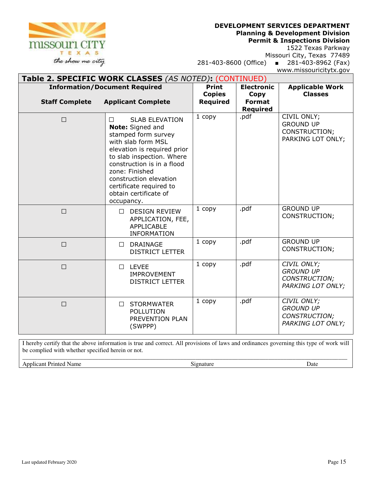#### **DEVELOPMENT SERVICES DEPARTMENT**

**Planning & Development Division** 

**Permit & Inspections Division** 

1522 Texas Parkway Missouri City, Texas 77489

281-403-8600 (Office) ■ 281-403-8962 (Fax) www.missouricitytx.gov

### **Table 2. SPECIFIC WORK CLASSES** *(AS NOTED)***:** (CONTINUED)

| <b>Information/Document Required</b> |                                                                                                                                                                                                                                                                                                          | <b>Print</b>              | <b>Electronic</b>                        | <b>Applicable Work</b>                                                |
|--------------------------------------|----------------------------------------------------------------------------------------------------------------------------------------------------------------------------------------------------------------------------------------------------------------------------------------------------------|---------------------------|------------------------------------------|-----------------------------------------------------------------------|
| <b>Staff Complete</b>                | <b>Applicant Complete</b>                                                                                                                                                                                                                                                                                | <b>Copies</b><br>Required | Copy<br><b>Format</b><br><b>Required</b> | <b>Classes</b>                                                        |
| $\Box$                               | <b>SLAB ELEVATION</b><br>$\Box$<br>Note: Signed and<br>stamped form survey<br>with slab form MSL<br>elevation is required prior<br>to slab inspection. Where<br>construction is in a flood<br>zone: Finished<br>construction elevation<br>certificate required to<br>obtain certificate of<br>occupancy. | 1 copy                    | .pdf                                     | CIVIL ONLY;<br><b>GROUND UP</b><br>CONSTRUCTION;<br>PARKING LOT ONLY; |
| $\Box$                               | <b>DESIGN REVIEW</b><br>П<br>APPLICATION, FEE,<br><b>APPLICABLE</b><br><b>INFORMATION</b>                                                                                                                                                                                                                | 1 copy                    | .pdf                                     | <b>GROUND UP</b><br>CONSTRUCTION;                                     |
| $\Box$                               | <b>DRAINAGE</b><br>$\Box$<br><b>DISTRICT LETTER</b>                                                                                                                                                                                                                                                      | 1 copy                    | .pdf                                     | <b>GROUND UP</b><br><b>CONSTRUCTION;</b>                              |
| $\Box$                               | <b>LEVEE</b><br>$\perp$<br><b>IMPROVEMENT</b><br><b>DISTRICT LETTER</b>                                                                                                                                                                                                                                  | 1 copy                    | .pdf                                     | CIVIL ONLY;<br><b>GROUND UP</b><br>CONSTRUCTION;<br>PARKING LOT ONLY; |
| $\Box$                               | <b>STORMWATER</b><br>$\Box$<br><b>POLLUTION</b><br>PREVENTION PLAN<br>(SWPPP)                                                                                                                                                                                                                            | 1 copy                    | .pdf                                     | CIVIL ONLY;<br><b>GROUND UP</b><br>CONSTRUCTION;<br>PARKING LOT ONLY; |

I hereby certify that the above information is true and correct. All provisions of laws and ordinances governing this type of work will be complied with whether specified herein or not.

\_\_\_\_\_\_\_\_\_\_\_\_\_\_\_\_\_\_\_\_\_\_\_\_\_\_\_\_\_\_\_\_\_\_\_\_\_\_\_\_\_\_\_\_\_\_\_\_\_\_\_\_\_\_\_\_\_\_\_\_\_\_\_\_\_\_\_\_\_\_\_\_\_\_\_\_\_\_\_\_\_\_\_\_\_\_\_\_\_\_\_\_\_\_\_\_\_\_\_\_\_\_\_\_\_\_\_ Applicant Printed Name **Signature** Date **Signature** Date **Date** Date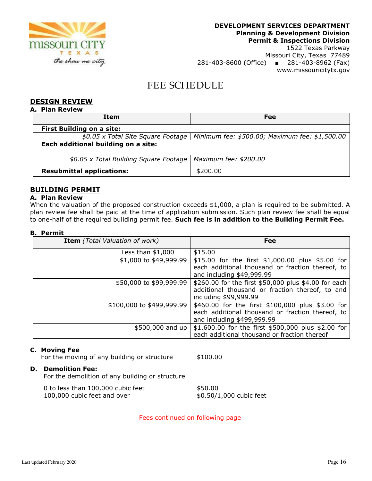

# 281-403-8600 (Office) ■ 281-403-8962 (Fax) www.missouricitytx.gov

### FEE SCHEDULE

#### **DESIGN REVIEW**

| <b>Plan Review</b><br>А.               |                                                |  |
|----------------------------------------|------------------------------------------------|--|
| Item                                   | Fee                                            |  |
| <b>First Building on a site:</b>       |                                                |  |
| \$0.05 x Total Site Square Footage     | Minimum fee: \$500.00; Maximum fee: \$1,500.00 |  |
| Each additional building on a site:    |                                                |  |
| \$0.05 x Total Building Square Footage | Maximum fee: \$200.00                          |  |
| <b>Resubmittal applications:</b>       | \$200.00                                       |  |

### **BUILDING PERMIT**

#### **A. Plan Review**

When the valuation of the proposed construction exceeds \$1,000, a plan is required to be submitted. A plan review fee shall be paid at the time of application submission. Such plan review fee shall be equal to one-half of the required building permit fee. **Such fee is in addition to the Building Permit Fee.**

#### **B. Permit**

| <b>Item</b> (Total Valuation of work) | <b>Fee</b>                                                                    |
|---------------------------------------|-------------------------------------------------------------------------------|
| Less than $$1,000$                    | \$15.00                                                                       |
| \$1,000 to \$49,999.99                | \$15.00 for the first \$1,000.00 plus \$5.00 for                              |
|                                       | each additional thousand or fraction thereof, to<br>and including \$49,999.99 |
| \$50,000 to \$99,999.99               | \$260.00 for the first \$50,000 plus \$4.00 for each                          |
|                                       | additional thousand or fraction thereof, to and<br>including \$99,999.99      |
| \$100,000 to \$499,999.99             | \$460.00 for the first \$100,000 plus \$3.00 for                              |
|                                       | each additional thousand or fraction thereof, to                              |
|                                       | and including \$499,999.99                                                    |
| \$500,000 and up                      | \$1,600.00 for the first \$500,000 plus \$2.00 for                            |
|                                       | each additional thousand or fraction thereof                                  |

#### **C. Moving Fee**

For the moving of any building or structure \$100.00

#### **D. Demolition Fee:**

For the demolition of any building or structure

| 0 to less than 100,000 cubic feet | \$50.00                 |
|-----------------------------------|-------------------------|
| 100,000 cubic feet and over       | \$0.50/1,000 cubic feet |

Fees continued on following page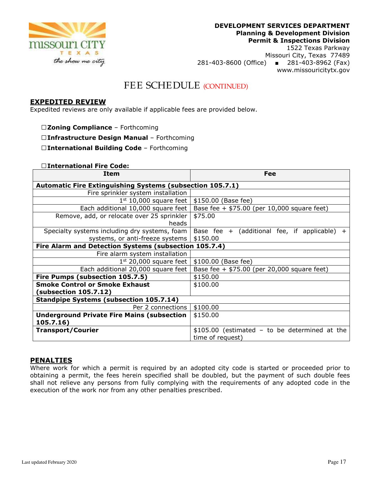

1522 Texas Parkway Missouri City, Texas 77489 281-403-8600 (Office) ■ 281-403-8962 (Fax) www.missouricitytx.gov

### FEE SCHEDULE (CONTINUED)

#### **EXPEDITED REVIEW**

Expedited reviews are only available if applicable fees are provided below.

- **□Zoning Compliance** Forthcoming
- **□Infrastructure Design Manual** Forthcoming

**□International Building Code** – Forthcoming

#### **□International Fire Code:**

| Item                                                             | Fee                                                 |  |  |
|------------------------------------------------------------------|-----------------------------------------------------|--|--|
| <b>Automatic Fire Extinguishing Systems (subsection 105.7.1)</b> |                                                     |  |  |
| Fire sprinkler system installation                               |                                                     |  |  |
| $1st$ 10,000 square feet                                         | \$150.00 (Base fee)                                 |  |  |
| Each additional 10,000 square feet                               | Base fee + $$75.00$ (per 10,000 square feet)        |  |  |
| Remove, add, or relocate over 25 sprinkler                       | \$75.00                                             |  |  |
| heads                                                            |                                                     |  |  |
| Specialty systems including dry systems, foam                    | Base fee $+$ (additional fee, if applicable)<br>$+$ |  |  |
| systems, or anti-freeze systems                                  | \$150.00                                            |  |  |
| Fire Alarm and Detection Systems (subsection 105.7.4)            |                                                     |  |  |
| Fire alarm system installation                                   |                                                     |  |  |
| $1st$ 20,000 square feet                                         | \$100.00 (Base fee)                                 |  |  |
| Each additional 20,000 square feet                               | Base fee + $$75.00$ (per 20,000 square feet)        |  |  |
| Fire Pumps (subsection 105.7.5)                                  | \$150.00                                            |  |  |
| <b>Smoke Control or Smoke Exhaust</b>                            | \$100.00                                            |  |  |
| (subsection 105.7.12)                                            |                                                     |  |  |
| <b>Standpipe Systems (subsection 105.7.14)</b>                   |                                                     |  |  |
| Per 2 connections                                                | \$100.00                                            |  |  |
| <b>Underground Private Fire Mains (subsection</b>                | \$150.00                                            |  |  |
| 105.7.16)                                                        |                                                     |  |  |
| <b>Transport/Courier</b>                                         | $$105.00$ (estimated - to be determined at the      |  |  |
|                                                                  | time of request)                                    |  |  |

#### **PENALTIES**

Where work for which a permit is required by an adopted city code is started or proceeded prior to obtaining a permit, the fees herein specified shall be doubled, but the payment of such double fees shall not relieve any persons from fully complying with the requirements of any adopted code in the execution of the work nor from any other penalties prescribed.